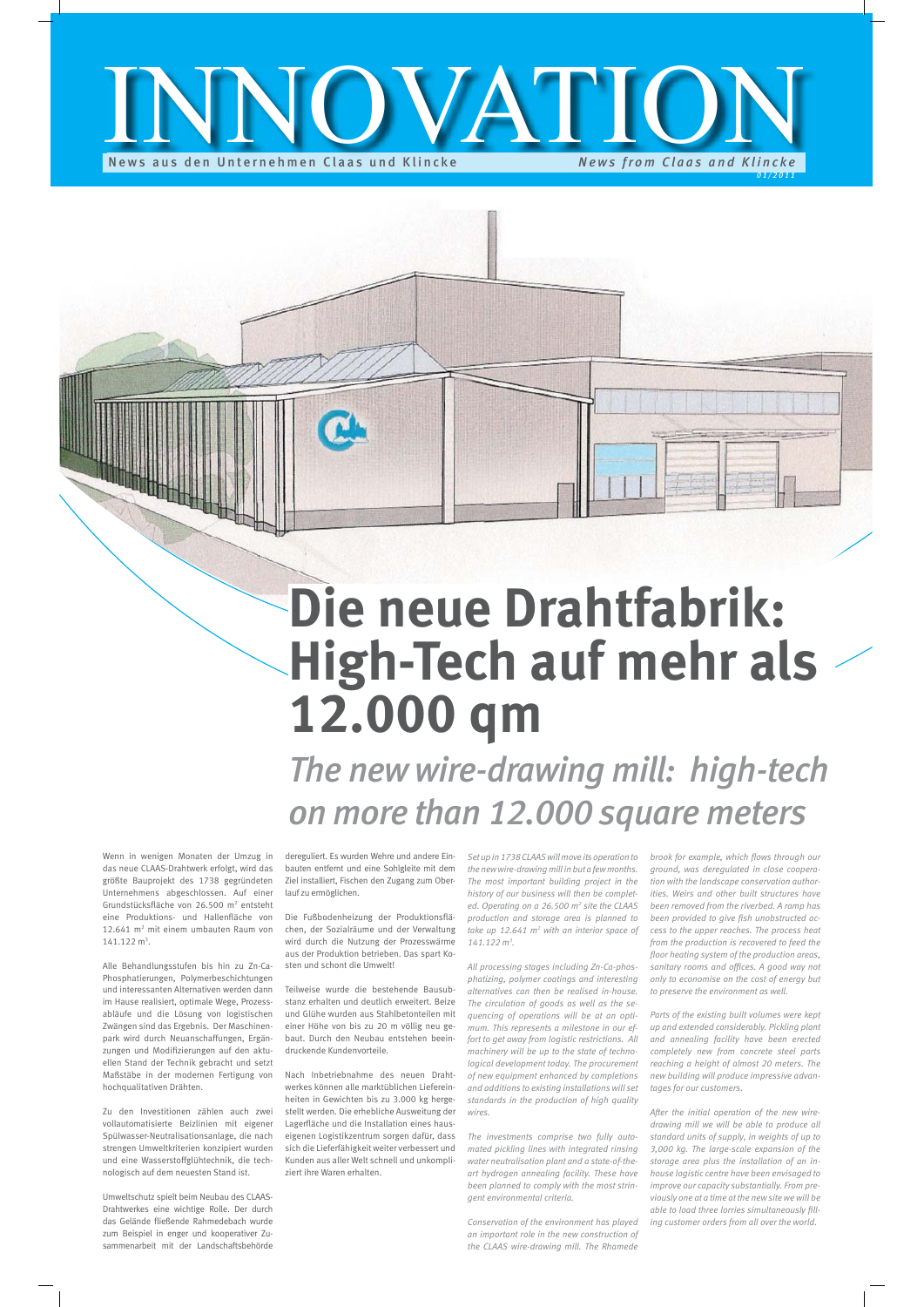

# **Die neue Drahtfabrik: High-Tech auf mehr als 12.000 qm**

*The new wire-drawing mill: high-tech on more than 12.000 square meters*

Wenn in wenigen Monaten der Umzug in das neue CLAAS-Drahtwerk erfolgt, wird das größte Bauprojekt des 1738 gegründeten Unternehmens abgeschlossen. Auf einer Grundstücksfläche von 26.500 m<sup>2</sup> entsteht eine Produktions- und Hallenfläche von 12.641 m<sup>2</sup> mit einem umbauten Raum von 141.122 m<sup>3</sup>.

Alle Behandlungsstufen bis hin zu Zn-Ca-Phosphatierungen, Polymerbeschichtungen und interessanten Alternativen werden dann im Hause realisiert, optimale Wege, Prozess abläufe und die Lösung von logistischen Zwängen sind das Ergebnis. Der Maschinenpark wird durch Neuanschaffungen, Ergänzungen und Modifizierungen auf den aktuellen Stand der Technik gebracht und setzt Maßstäbe in der modernen Fertigung von hochqualitativen Drähten.

Zu den Investitionen zählen auch zwei vollautomatisierte Beizlinien mit eigener Spülwasser-Neutralisationsanlage, die nach strengen Umweltkriterien konzipiert wurden und eine Wasserstoffglühtechnik, die technologisch auf dem neuesten Stand ist.

Umweltschutz spielt beim Neubau des CLAAS-Drahtwerkes eine wichtige Rolle. Der durch das Gelände fließende Rahmedebach wurde zum Beispiel in enger und kooperativer Zusammenarbeit mit der Landschaftsbehörde

dereguliert. Es wurden Wehre und andere Einbauten entfernt und eine Sohlgleite mit dem Ziel installiert, Fischen den Zugang zum Oberlauf zu ermöglichen.

Die Fußbodenheizung der Produktionsflächen, der Sozialräume und der Verwaltung wird durch die Nutzung der Prozesswärme aus der Produktion betrieben. Das spart Kosten und schont die Umwelt!

Teilweise wurde die bestehende Bausubstanz erhalten und deutlich erweitert. Beize und Glühe wurden aus Stahlbetonteilen mit einer Höhe von bis zu 20 m völlig neu gebaut. Durch den Neubau entstehen beein druckende Kundenvorteile.

Nach Inbetriebnahme des neuen Drahtwerkes können alle marktüblichen Lieferein heiten in Gewichten bis zu 3.000 kg hergestellt werden. Die erhebliche Ausweitung der Lagerfläche und die Installation eines hauseigenen Logistikzentrum sorgen dafür, dass sich die Lieferfähigkeit weiter verbessert und Kunden aus aller Welt schnell und unkompliziert ihre Waren erhalten.

*Set up in 1738 CLAAS will move its operation to the new wire-drawing mill in but a few months. The most important building project in the history of our business will then be complet*ed. Operating on a 26.500 m<sup>2</sup> site the CLAAS *production and storage area is planned to take up 12.641 m2 with an interior space of 141.122 m3 .* 

*All processing stages including Zn-Ca-phosphatizing, polymer coatings and interesting alternatives can then be realised in-house. The circulation of goods as well as the sequencing of operations will be at an optimum. This represents a milestone in our effort to get away from logistic restrictions. All machinery will be up to the state of technological development today. The procurement of new equipment enhanced by completions and additions to existing installations will set standards in the production of high quality wires.* 

*The investments comprise two fully automated pickling lines with integrated rinsing water neutralisation plant and a state-of-theart hydrogen annealing facility. These have been planned to comply with the most stringent environmental criteria.* 

*Conservation of the environment has played an important role in the new construction of the CLAAS wire-drawing mill. The Rhamede* 

**brook** for example, which flows through our *ground, was deregulated in close cooperation with the landscape conservation authorities. Weirs and other built structures have been removed from the riverbed. A ramp has*  been provided to give fish unobstructed ac*cess to the upper reaches. The process heat from the production is recovered to feed the*  floor heating system of the production areas, sanitary rooms and offices. A good way not *only to economise on the cost of energy but to preserve the environment as well.*

*Parts of the existing built volumes were kept up and extended considerably. Pickling plant and annealing facility have been erected completely new from concrete steel parts reaching a height of almost 20 meters. The new building will produce impressive advantages for our customers.* 

*After the initial operation of the new wiredrawing mill we will be able to produce all standard units of supply, in weights of up to 3,000 kg. The large-scale expansion of the storage area plus the installation of an inhouse logistic centre have been envisaged to improve our capacity substantially. From previously one at a time at the new site we will be*  able to load three lorries simultaneously fill*ing customer orders from all over the world.*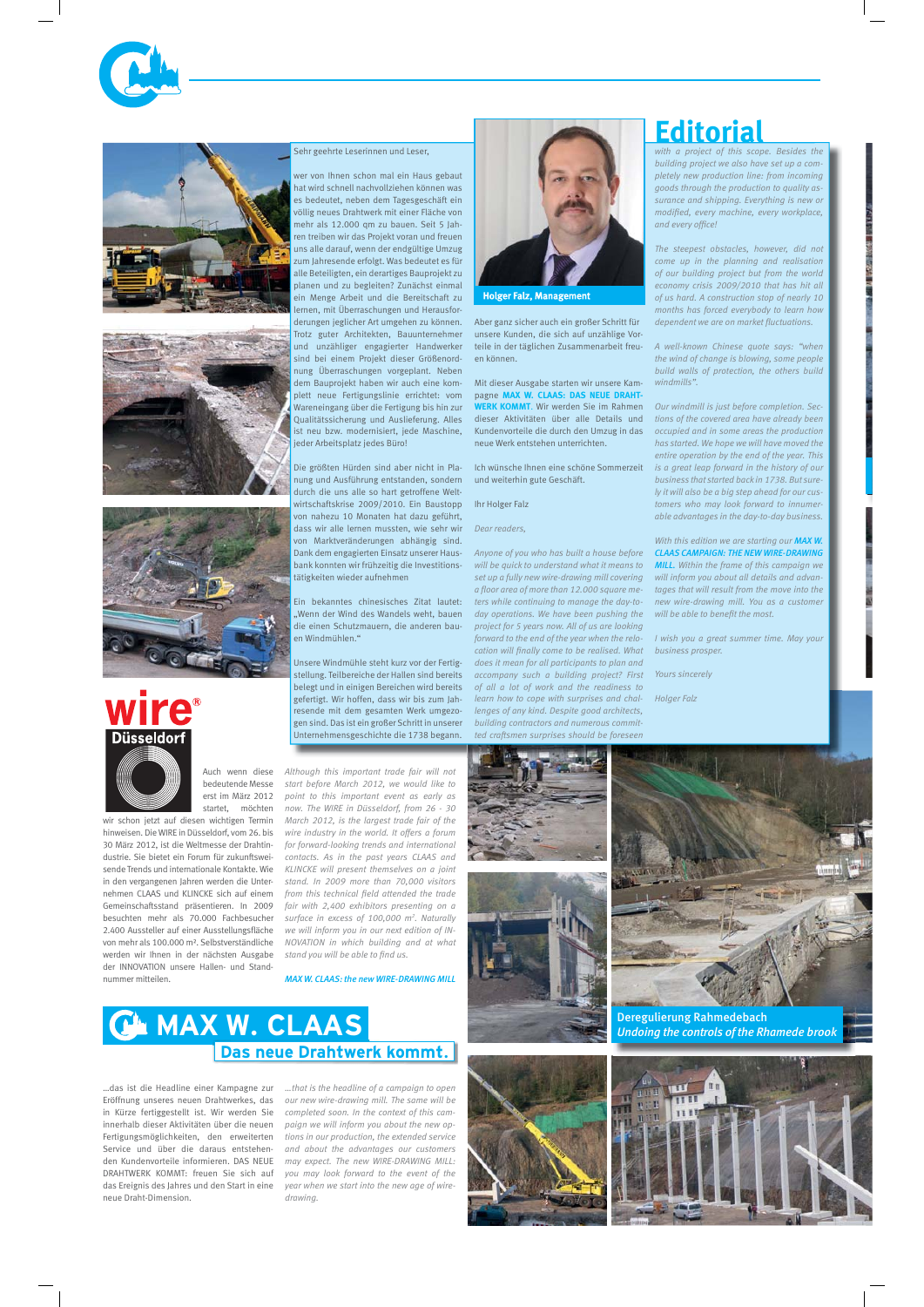







# wire **Düsseldorf**

Auch wenn diese bedeutende Messe erst im März 2012 startet, möchten

wir schon jetzt auf diesen wichtigen Termin hinweisen. Die WIRE in Düsseldorf, vom 26. bis 30 März 2012, ist die Weltmesse der Drahtindustrie Sie bietet ein Forum für zukunftsweisende Trends und internationale Kontakte. Wie in den vergangenen lahren werden die Unternehmen CLAAS und KLINCKE sich auf einem Gemeinschaftsstand präsentieren. In 2009 besuchten mehr als 70.000 Fachbesucher 2.400 Aussteller auf einer Ausstellungsfläche von mehr als 100.000 m<sup>2</sup>. Selbstverständliche werden wir Ihnen in der nächsten Ausgabe der INNOVATION unsere Hallen- und Standnummer mitteilen.

#### Sehr geehrte Leserinnen und Leser,

wer von Ihnen schon mal ein Haus gebaut hat wird schnell nachvollziehen können was es bedeutet, neben dem Tagesgeschäft ein völlig neues Drahtwerk mit einer Fläche von mehr als 12.000 gm zu bauen. Seit 5 lahren treihen wir das Projekt voran und freuen uns alle darauf, wenn der endgültige Umzug zum lahresende erfolgt. Was bedeutet es für alle Beteiligten, ein derartiges Bauprojekt zu planen und zu begleiten? Zunächst einmal ein Menge Arbeit und die Bereitschaft zu lernen, mit Überraschungen und Herausforderungen jeglicher Art umgehen zu können. Trotz guter Architekten, Bauunternehmer und unzähliger engagierter Handwerker sind bei einem Projekt dieser Größenord nung Überraschungen vorgeplant. Neben dem Bauprojekt haben wir auch eine komplett neue Fertigungslinie errichtet: vom Wareneingang über die Fertigung bis hin zur Qualitätssicherung und Auslieferung. Alles ist neu bzw. modernisiert, jede Maschine, jeder Arbeitsplatz jedes Büro!

Die größten Hürden sind aber nicht in Planung und Ausführung entstanden, sondern durch die uns alle so hart getroffene Welt wirtschaftskrise 2009/2010. Ein Baustopp won nahezu 10 Monaten hat dazu geführt, dass wir alle lernen mussten, wie sehr wir von Marktveränderungen abhängig sind. Dank dem engagierten Einsatz unserer Hausbank konnten wir frühzeitig die Investitionstätigkeiten wieder aufnehmen

Ein bekanntes chinesisches Zitat lautet: "Wenn der Wind des Wandels weht, bauen die einen Schutzmauern, die anderen bauen Windmühlen.

Unsere Windmühle steht kurz vor der Fertigstellung. Teilbereiche der Hallen sind bereits belegt und in einigen Bereichen wird bereits gefertigt. Wir hoffen, dass wir bis zum Jahresende mit dem gesamten Werk umgezogen sind. Das ist ein großer Schritt in unserer Unternehmensgeschichte die 1738 begann.

*Although this important trade fair will not start before March 2012, we would like to point to this important event as early as now. The WIRE in Düsseldorf, from 26 - 30 March 2012, is the largest trade fair of the wire industry in the world. It offers a forum for forward-looking trends and international contacts. As in the past years CLAAS and KLINCKE will present themselves on a joint stand. In 2009 more than 70,000 visitors from this technical field attended the trade fair with 2,400 exhibitors presenting on a surface in excess of 100,000 m2 . Naturally we will inform you in our next edition of IN-NOVATION in which building and at what*  stand you will be able to find us.

*MAX W. CLAAS: the new WIRE-DRAWING MILL*



**Holger Falz, Management** 

Aber ganz sicher auch ein großer Schritt für unsere Kunden, die sich auf unzählige Vorteile in der täglichen Zusammenarbeit freuen können.

### Mit dieser Ausgabe starten wir unsere Kampagne **MAX W. CLAAS: DAS NEUE DRAHT-WERK KOMMT**. Wir werden Sie im Rahmen dieser Aktivitäten über alle Details und Kundenvorteile die durch den Umzug in das neue Werk entstehen unterrichten.

Ich wünsche Ihnen eine schöne Sommerzeit und weiterhin gute Geschäft.

Ihr Holger Falz

*Dear readers,*

*Anyone of you who has built a house before will be quick to understand what it means to set up a fully new wire-drawing mill covering*  a floor area of more than 12.000 square me*ters while continuing to manage the day-today operations. We have been pushing the project for 5 years now. All of us are looking forward to the end of the year when the relo*  $c$  *cation will finally come to be realised. What does it mean for all participants to plan and accompany such a building project? First of all a lot of work and the readiness to learn how to cope with surprises and challenges of any kind. Despite good architects, building contractors and numerous committed craftsmen surprises should be foreseen* 

## **Editorial**

*scope. Besides the building project we also have set up a completely new production line: from incoming goods through the production to quality assurance and shipping. Everything is new or*  modified, every machine, every workplace, and every office!

*The steepest obstacles, however, did not come up in the planning and realisation of our building project but from the world economy crisis 2009/2010 that has hit all of us hard. A construction stop of nearly 10 months has forced everybody to learn how*  dependent we are on market fluctuations.

*A well-known Chinese quote says: "when the wind of change is blowing, some people build walls of protection, the others build windmills".* 

*Our windmill is just before completion. Sections of the covered area have already been occupied and in some areas the production has started. We hope we will have moved the entire operation by the end of the year. This is a great leap forward in the history of our business that started back in 1738. But surely it will also be a big step ahead for our customers who may look forward to innumerable advantages in the day-to-day business.* 

*With this edition we are starting our MAX W.*  **CLAAS CAMPAIGN: THE NEW WIRE-DRAW** *MILL. Within the frame of this campaign we will inform you about all details and advantages that will result from the move into the new wire-drawing mill. You as a customer will be able to benefit the most.* 

*I wish you a great summer time. May your business prosper.*

*Yours sincerely*

*Holger Falz*





Deregulierung Rahmedebach *Undoing the controls of the Rhamede brook*

## **G. MAX W. CLAAS** Das neue Drahtwerk kommt.

…das ist die Headline einer Kampagne zur Eröffnung unseres neuen Drahtwerkes, das in Kürze fertiggestellt ist. Wir werden Sie innerhalb dieser Aktivitäten über die neuen Fertigungsmöglichkeiten, den erweiterten Service und über die daraus entstehenden Kundenvorteile informieren. DAS NEUE DRAHTWERK KOMMT: freuen Sie sich auf das Ereignis des Jahres und den Start in eine neue Draht-Dimension.

*…that is the headline of a campaign to open our new wire-drawing mill. The same will be completed soon. In the context of this campaign we will inform you about the new options in our production, the extended service and about the advantages our customers may expect. The new WIRE-DRAWING MILL: you may look forward to the event of the year when we start into the new age of wiredrawing.*



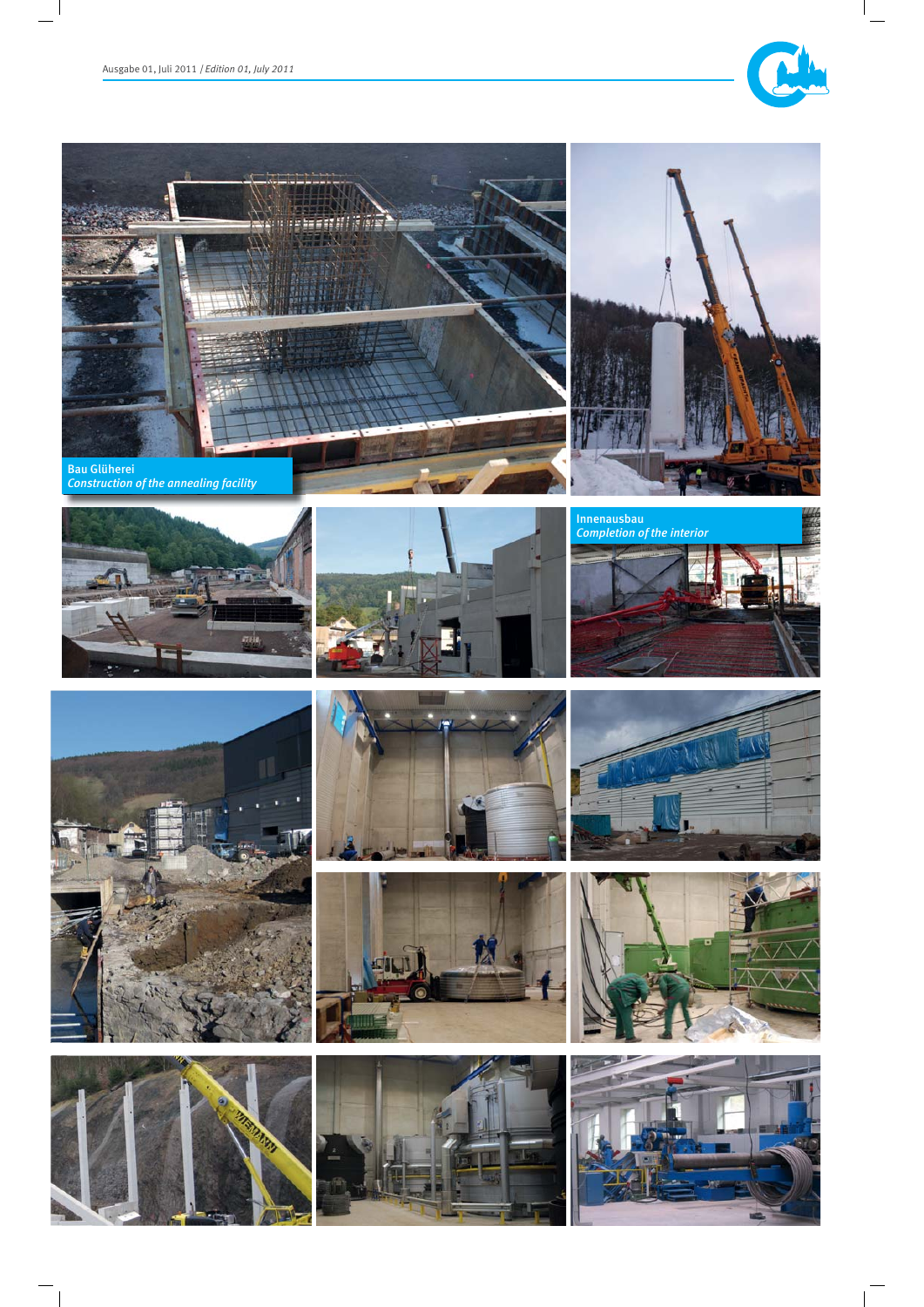$\mathbb{R}$ 

 $\sim 1$ 



 $\mathbb{R}$ 

 $\overline{\phantom{0}}$